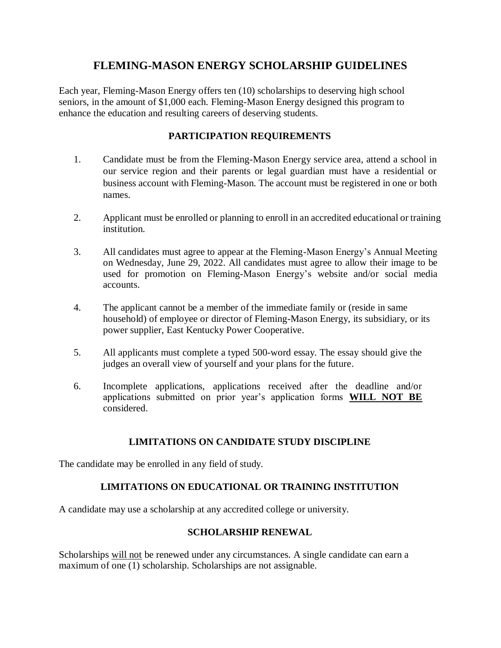### **FLEMING-MASON ENERGY SCHOLARSHIP GUIDELINES**

Each year, Fleming-Mason Energy offers ten (10) scholarships to deserving high school seniors, in the amount of \$1,000 each. Fleming-Mason Energy designed this program to enhance the education and resulting careers of deserving students.

#### **PARTICIPATION REQUIREMENTS**

- 1. Candidate must be from the Fleming-Mason Energy service area, attend a school in our service region and their parents or legal guardian must have a residential or business account with Fleming-Mason. The account must be registered in one or both names.
- 2. Applicant must be enrolled or planning to enroll in an accredited educational or training institution.
- 3. All candidates must agree to appear at the Fleming-Mason Energy's Annual Meeting on Wednesday, June 29, 2022. All candidates must agree to allow their image to be used for promotion on Fleming-Mason Energy's website and/or social media accounts.
- 4. The applicant cannot be a member of the immediate family or (reside in same household) of employee or director of Fleming-Mason Energy, its subsidiary, or its power supplier, East Kentucky Power Cooperative.
- 5. All applicants must complete a typed 500-word essay. The essay should give the judges an overall view of yourself and your plans for the future.
- 6. Incomplete applications, applications received after the deadline and/or applications submitted on prior year's application forms **WILL NOT BE** considered.

#### **LIMITATIONS ON CANDIDATE STUDY DISCIPLINE**

The candidate may be enrolled in any field of study.

#### **LIMITATIONS ON EDUCATIONAL OR TRAINING INSTITUTION**

A candidate may use a scholarship at any accredited college or university.

#### **SCHOLARSHIP RENEWAL**

Scholarships will not be renewed under any circumstances. A single candidate can earn a maximum of one (1) scholarship. Scholarships are not assignable.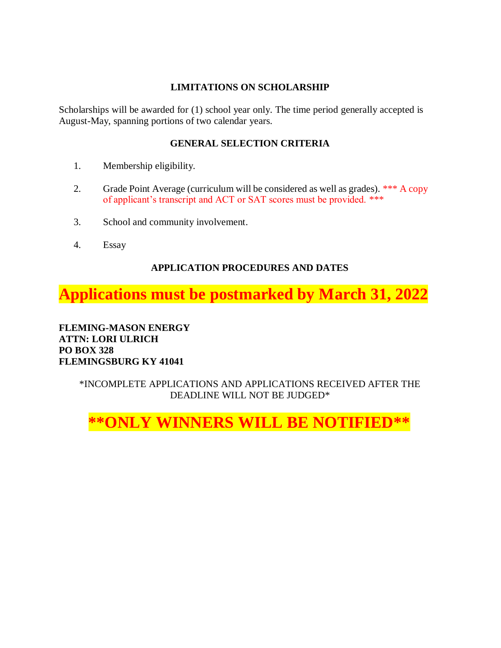#### **LIMITATIONS ON SCHOLARSHIP**

Scholarships will be awarded for (1) school year only. The time period generally accepted is August-May, spanning portions of two calendar years.

#### **GENERAL SELECTION CRITERIA**

- 1. Membership eligibility.
- 2. Grade Point Average (curriculum will be considered as well as grades). \*\*\* A copy of applicant's transcript and ACT or SAT scores must be provided. \*\*\*
- 3. School and community involvement.
- 4. Essay

### **APPLICATION PROCEDURES AND DATES**

## **Applications must be postmarked by March 31, 2022**

**FLEMING-MASON ENERGY ATTN: LORI ULRICH PO BOX 328 FLEMINGSBURG KY 41041**

#### \*INCOMPLETE APPLICATIONS AND APPLICATIONS RECEIVED AFTER THE DEADLINE WILL NOT BE JUDGED\*

# **\*\*ONLY WINNERS WILL BE NOTIFIED\*\***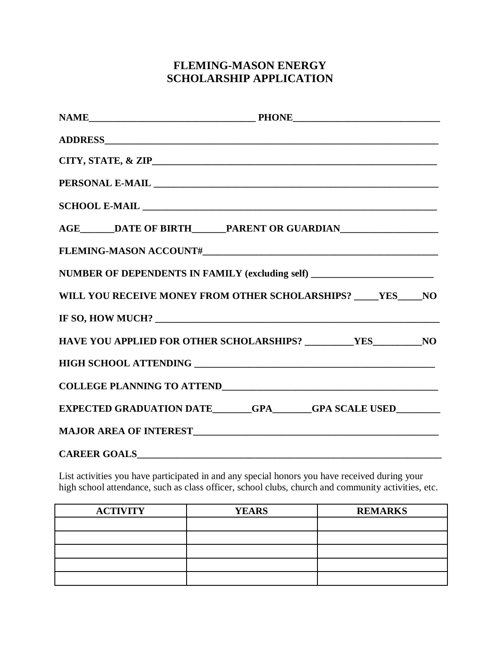## **FLEMING-MASON ENERGY SCHOLARSHIP APPLICATION**

| AGE_______DATE OF BIRTH_______PARENT OR GUARDIAN_________________________________ |
|-----------------------------------------------------------------------------------|
|                                                                                   |
| NUMBER OF DEPENDENTS IN FAMILY (excluding self) ________________________________  |
| WILL YOU RECEIVE MONEY FROM OTHER SCHOLARSHIPS? ____ YES____NO                    |
| IF SO, HOW MUCH?                                                                  |
| HAVE YOU APPLIED FOR OTHER SCHOLARSHIPS? ___________YES___________NO              |
|                                                                                   |
|                                                                                   |
| EXPECTED GRADUATION DATE_______GPA______GPA SCALE USED________                    |
|                                                                                   |
|                                                                                   |

List activities you have participated in and any special honors you have received during your high school attendance, such as class officer, school clubs, church and community activities, etc.

| <b>ACTIVITY</b> | <b>YEARS</b> | <b>REMARKS</b> |
|-----------------|--------------|----------------|
|                 |              |                |
|                 |              |                |
|                 |              |                |
|                 |              |                |
|                 |              |                |